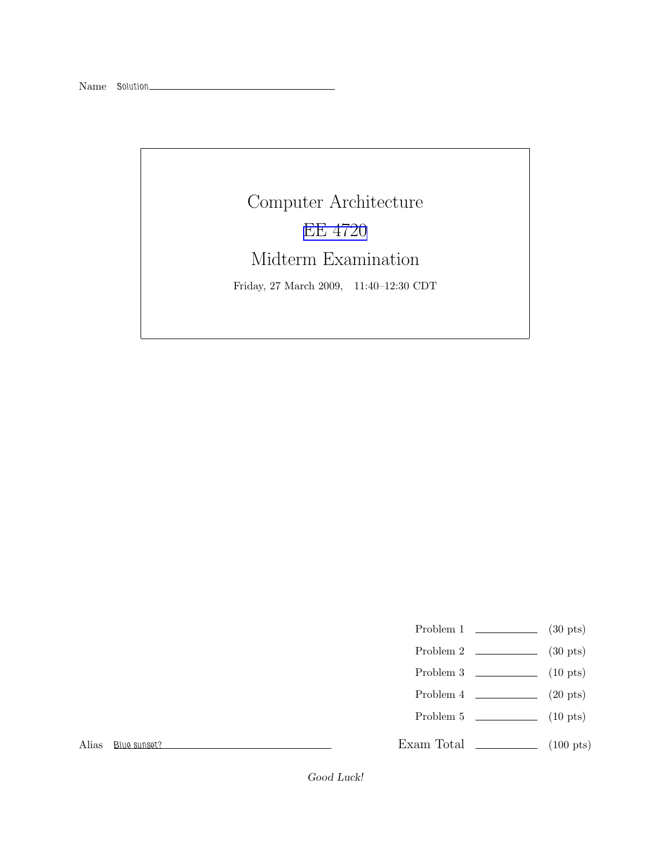Computer Architecture [EE 4720](http://www.ece.lsu.edu/ee4720/) Midterm Examination Friday, 27 March 2009, 11:40–12:30 CDT

Problem 1  $\qquad \qquad$  (30 pts)

- Problem 2  $\qquad \qquad$  (30 pts)
- Problem 3  $\qquad \qquad$  (10 pts)
- Problem 4  $\qquad \qquad (20 \text{ pts})$
- Problem 5 (10 pts)

Exam Total \_\_\_\_\_\_\_\_\_\_\_\_\_ (100 pts)

Alias Blue sunset?

Good Luck!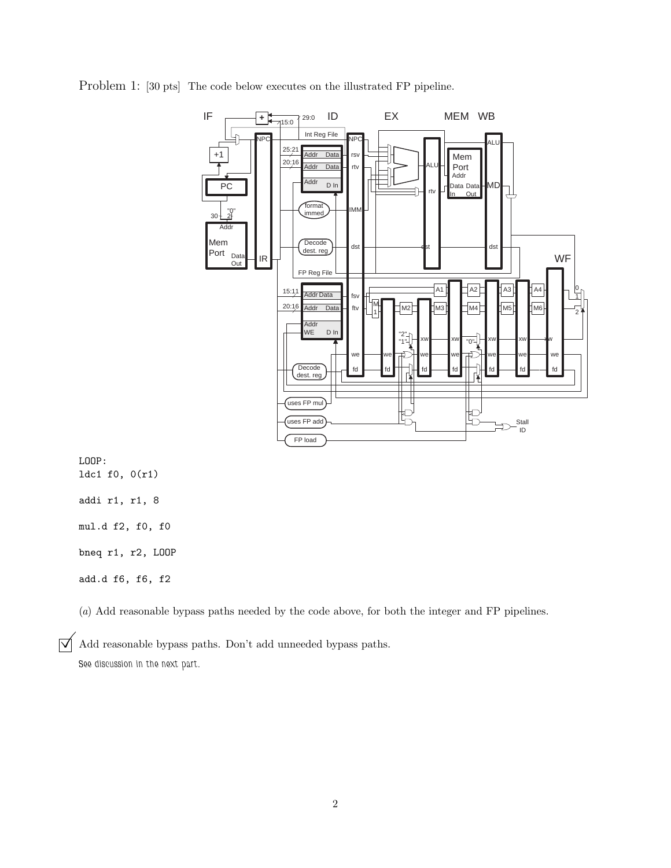

Problem 1: [30 pts] The code below executes on the illustrated FP pipeline.

(a) Add reasonable bypass paths needed by the code above, for both the integer and FP pipelines.

 $\overrightarrow{V}$  Add reasonable bypass paths. Don't add unneeded bypass paths. See discussion in the next part.

LOOP: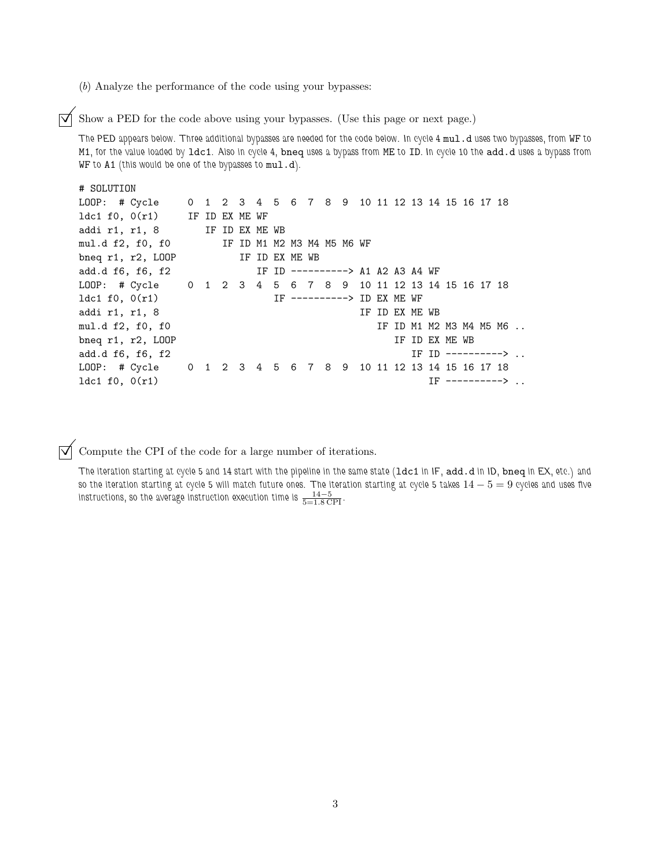(b) Analyze the performance of the code using your bypasses:

 $\triangledown$  Show a PED for the code above using your bypasses. (Use this page or next page.)

The PED appears below. Three additional bypasses are needed for the code below. In cycle 4 mul.d uses two bypasses, from WF to M1, for the value loaded by ldc1. Also in cycle 4, bneq uses a bypass from ME to ID. In cycle 10 the add.d uses a bypass from WF to A1 (this would be one of the bypasses to mul.d).

```
# SOLUTION
LOOP: # Cycle 0 1 2 3 4 5 6 7 8 9 10 11 12 13 14 15 16 17 18
ldc1 f0, 0(r1) IF ID EX ME WF
addi r1, r1, 8 IF ID EX ME WB
mul.d f2, f0, f0 IF ID M1 M2 M3 M4 M5 M6 WF
bneq r1, r2, LOOP IF ID EX ME WB
add.d f6, f6, f2 IF ID ---------> A1 A2 A3 A4 WF
LOOP: # Cycle 0 1 2 3 4 5 6 7 8 9 10 11 12 13 14 15 16 17 18
1dc1 f0, 0(r1) IF ----------> ID EX ME WF
addi r1, r1, 8 IF ID EX ME WB
mul.d f2, f0, f0 IF ID M1 M2 M3 M4 M5 M6 ..
bneq r1, r2, LOOP IF ID EX ME WB
add.d f6, f6, f2 IF ID ---------> ..
LOOP: # Cycle 0 1 2 3 4 5 6 7 8 9 10 11 12 13 14 15 16 17 18
ldc1 f0, 0(r1) IF ---------> ..
```
 $\overrightarrow{\mathsf{q}}$  Compute the CPI of the code for a large number of iterations.

The iteration starting at cycle 5 and 14 start with the pipeline in the same state (ldc1 in IF, add.d in ID, bneq in EX, etc.) and so the iteration starting at cycle 5 will match future ones. The iteration starting at cycle 5 takes  $14-5=9$  cycles and uses five instructions, so the average instruction execution time is  $\frac{14-5}{5=1.8$  CPI .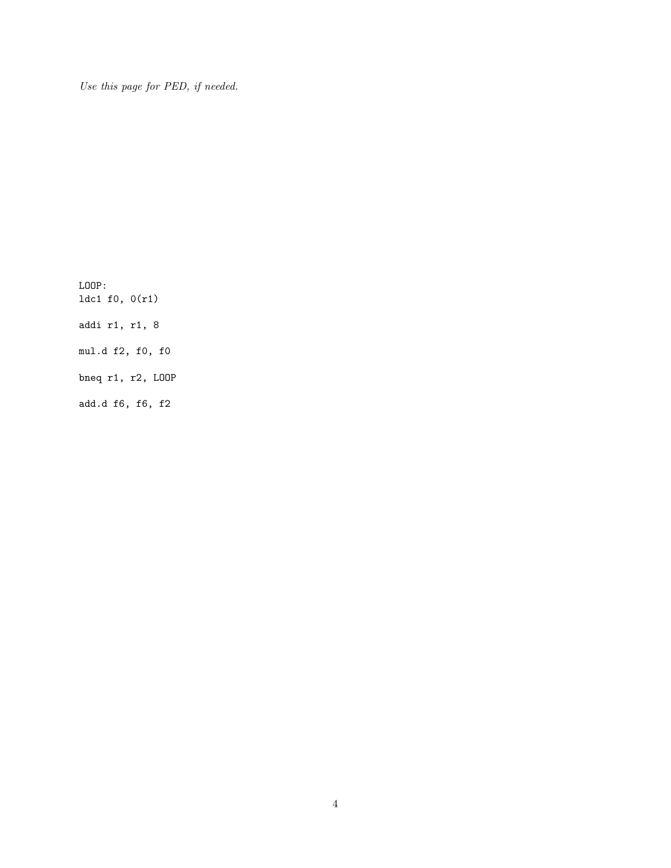Use this page for PED, if needed.

LOOP: ldc1 f0, 0(r1) addi r1, r1, 8 mul.d f2, f0, f0 bneq r1, r2, LOOP add.d f6, f6, f2

4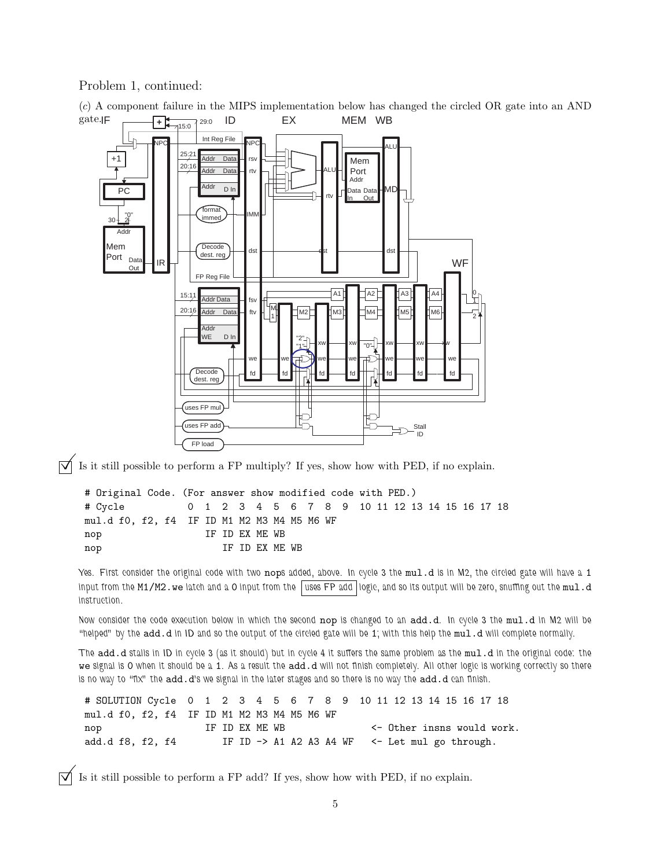Problem 1, continued:



(c) A component failure in the MIPS implementation below has changed the circled OR gate into an AND

 $\overrightarrow{\mathcal{A}}$  Is it still possible to perform a FP multiply? If yes, show how with PED, if no explain.

# Original Code. (For answer show modified code with PED.) # Cycle 0 1 2 3 4 5 6 7 8 9 10 11 12 13 14 15 16 17 18 mul.d f0, f2, f4 IF ID M1 M2 M3 M4 M5 M6 WF nop IF ID EX ME WB nop IF ID EX ME WB

Yes. First consider the original code with two nops added, above. In cycle 3 the mul.d is in M2, the circled gate will have a 1 input from the M1/M2. we latch and a 0 input from the  $|$  uses FP add  $|$  logic, and so its output will be zero, snuffing out the mul.d instruction.

Now consider the code execution below in which the second nop is changed to an add.d. In cycle 3 the mul.d in M2 will be "helped" by the add.d in ID and so the output of the circled gate will be 1; with this help the mul.d will complete normally.

The add.d stalls in ID in cycle 3 (as it should) but in cycle 4 it suffers the same problem as the mul.d in the original code: the we signal is 0 when it should be a 1. As a result the add.d will not finish completely. All other logic is working correctly so there is no way to "fix" the add.d's we signal in the later stages and so there is no way the add.d can finish.

# SOLUTION Cycle 0 1 2 3 4 5 6 7 8 9 10 11 12 13 14 15 16 17 18 mul.d f0, f2, f4 IF ID M1 M2 M3 M4 M5 M6 WF nop 1F ID EX ME WB <- 0ther insns would work. add.d f8, f2, f4 IF ID -> A1 A2 A3 A4 WF <- Let mul go through.

 $\overrightarrow{\mathsf{q}}$  Is it still possible to perform a FP add? If yes, show how with PED, if no explain.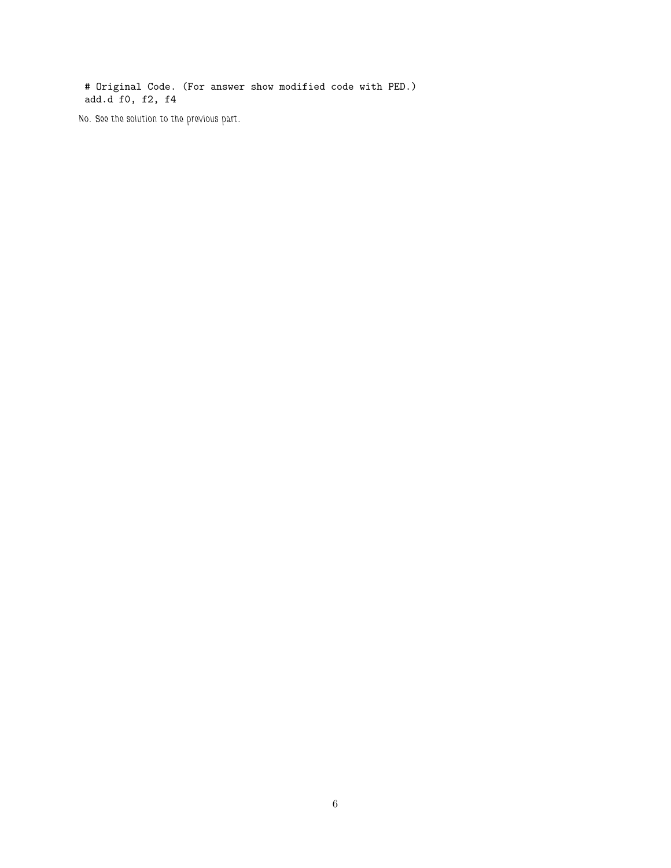# Original Code. (For answer show modified code with PED.) add.d f0, f2, f4

No. See the solution to the previous part.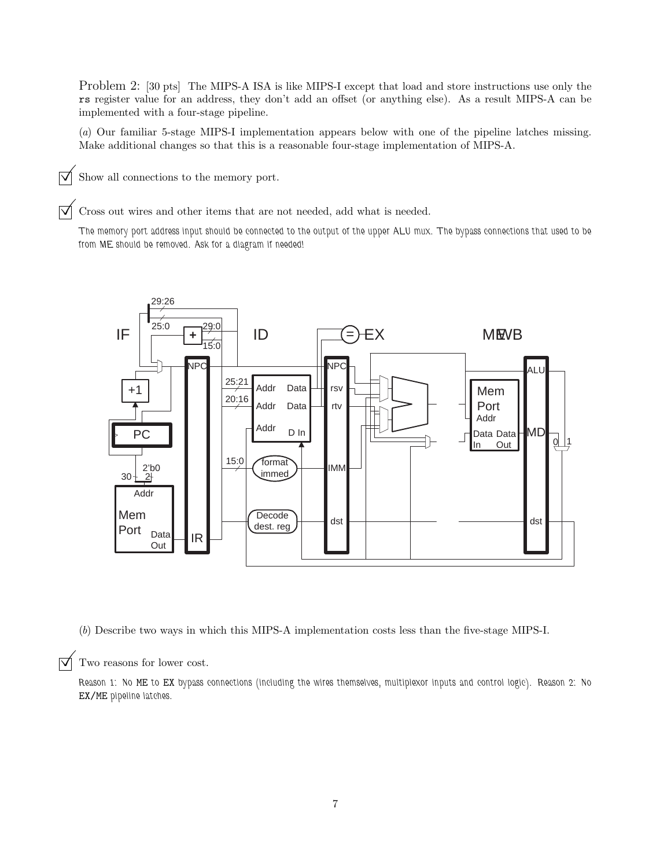Problem 2: [30 pts] The MIPS-A ISA is like MIPS-I except that load and store instructions use only the rs register value for an address, they don't add an offset (or anything else). As a result MIPS-A can be implemented with a four-stage pipeline.

(a) Our familiar 5-stage MIPS-I implementation appears below with one of the pipeline latches missing. Make additional changes so that this is a reasonable four-stage implementation of MIPS-A.

 $\triangledown$  Show all connections to the memory port.

 $\triangledown$  Cross out wires and other items that are not needed, add what is needed.

The memory port address input should be connected to the output of the upper ALU mux. The bypass connections that used to be from ME should be removed. Ask for a diagram if needed!



(b) Describe two ways in which this MIPS-A implementation costs less than the five-stage MIPS-I.

 $\triangledown$  Two reasons for lower cost.

Reason 1: No ME to EX bypass connections (including the wires themselves, multiplexor inputs and control logic). Reason 2: No EX/ME pipeline latches.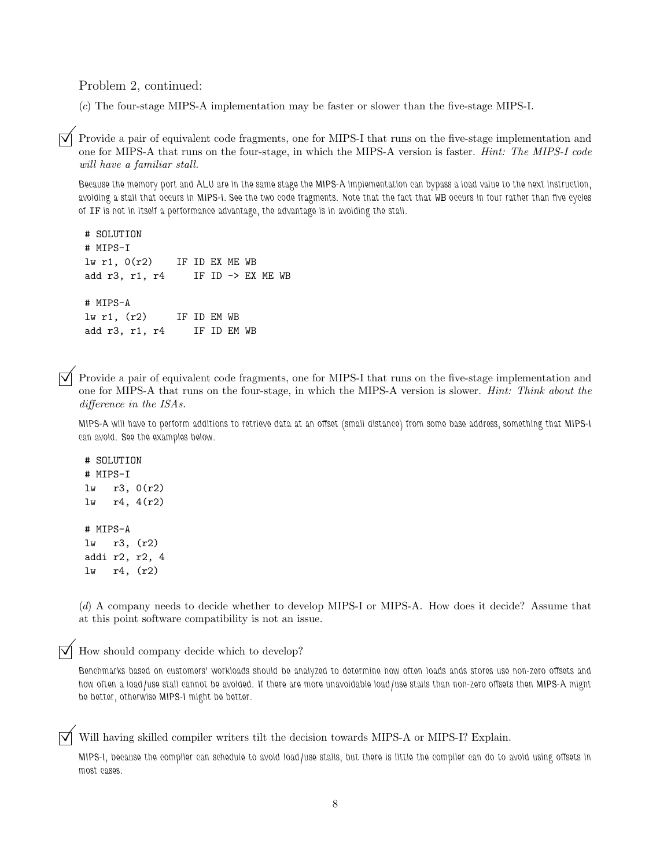Problem 2, continued:

(c) The four-stage MIPS-A implementation may be faster or slower than the five-stage MIPS-I.

Provide a pair of equivalent code fragments, one for MIPS-I that runs on the five-stage implementation and one for MIPS-A that runs on the four-stage, in which the MIPS-A version is faster. Hint: The MIPS-I code will have a familiar stall.

Because the memory port and ALU are in the same stage the MIPS-A implementation can bypass a load value to the next instruction, avoiding a stall that occurs in MIPS-I. See the two code fragments. Note that the fact that WB occurs in four rather than five cycles of IF is not in itself a performance advantage, the advantage is in avoiding the stall.

# SOLUTION # MIPS-I  $lw$  r1,  $O(r2)$  IF ID EX ME WB add r3, r1, r4 IF ID -> EX ME WB # MIPS-A lw r1, (r2) IF ID EM WB add r3, r1, r4 IF ID EM WB

Provide a pair of equivalent code fragments, one for MIPS-I that runs on the five-stage implementation and one for MIPS-A that runs on the four-stage, in which the MIPS-A version is slower. Hint: Think about the difference in the ISAs.

MIPS-A will have to perform additions to retrieve data at an offset (small distance) from some base address, something that MIPS-I can avoid. See the examples below.

# SOLUTION # MIPS-I lw r3, 0(r2) lw r4, 4(r2) # MIPS-A lw r3, (r2) addi r2, r2, 4 lw r4, (r2)

(d) A company needs to decide whether to develop MIPS-I or MIPS-A. How does it decide? Assume that at this point software compatibility is not an issue.

How should company decide which to develop?

Benchmarks based on customers' workloads should be analyzed to determine how often loads ands stores use non-zero offsets and how often a load/use stall cannot be avoided. If there are more unavoidable load/use stalls than non-zero offsets then MIPS-A might be better, otherwise MIPS-I might be better.

Will having skilled compiler writers tilt the decision towards MIPS-A or MIPS-I? Explain.

MIPS-I, because the compiler can schedule to avoid load/use stalls, but there is little the compiler can do to avoid using offsets in most cases.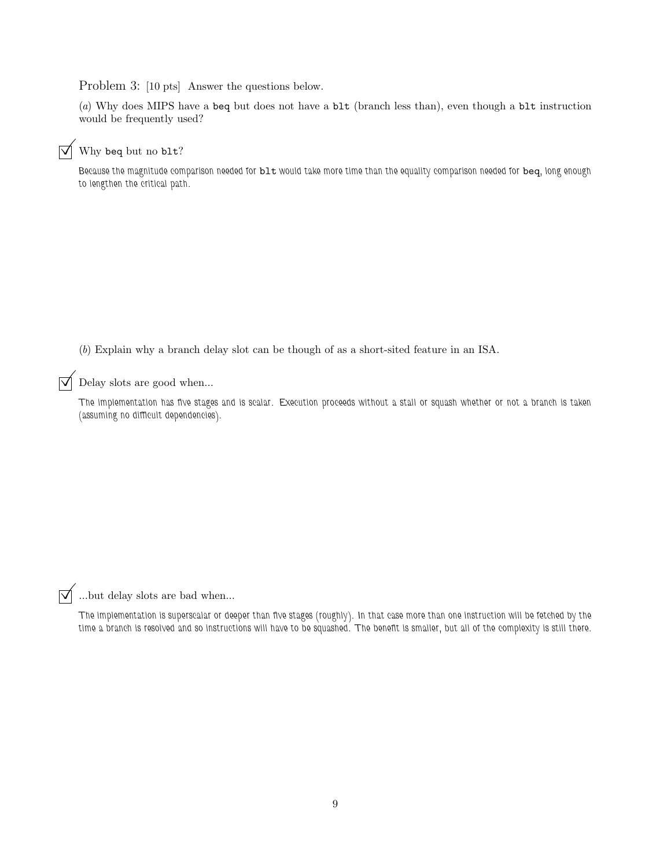Problem 3: [10 pts] Answer the questions below.

(a) Why does MIPS have a beq but does not have a blt (branch less than), even though a blt instruction would be frequently used?

## $\overrightarrow{V}$  Why beq but no blt?

Because the magnitude comparison needed for blt would take more time than the equality comparison needed for beq, long enough to lengthen the critical path.

(b) Explain why a branch delay slot can be though of as a short-sited feature in an ISA.

 $\triangledown$  Delay slots are good when...

The implementation has five stages and is scalar. Execution proceeds without a stall or squash whether or not a branch is taken (assuming no difficult dependencies).

 $\overrightarrow{\bigvee}$  ...but delay slots are bad when...

The implementation is superscalar or deeper than five stages (roughly). In that case more than one instruction will be fetched by the time a branch is resolved and so instructions will have to be squashed. The benefit is smaller, but all of the complexity is still there.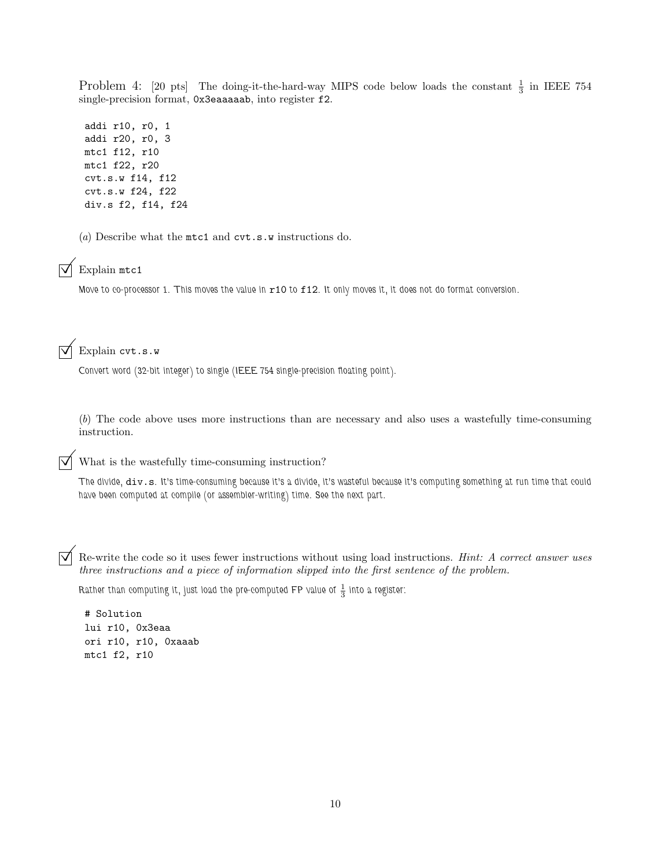Problem 4: [20 pts] The doing-it-the-hard-way MIPS code below loads the constant  $\frac{1}{3}$  in IEEE 754 single-precision format, 0x3eaaaaab, into register f2.

addi r10, r0, 1 addi r20, r0, 3 mtc1 f12, r10 mtc1 f22, r20 cvt.s.w f14, f12 cvt.s.w f24, f22 div.s f2, f14, f24

(a) Describe what the mtc1 and cvt.s.w instructions do.



Move to co-processor 1. This moves the value in r10 to f12. It only moves it, it does not do format conversion.

Explain cvt.s.w

Convert word (32-bit integer) to single (IEEE 754 single-precision floating point).

(b) The code above uses more instructions than are necessary and also uses a wastefully time-consuming instruction.

 $\triangledown$  What is the wastefully time-consuming instruction?

The divide, div.s. It's time-consuming because it's a divide, it's wasteful because it's computing something at run time that could have been computed at compile (or assembler-writing) time. See the next part.

Re-write the code so it uses fewer instructions without using load instructions. Hint: A correct answer uses three instructions and a piece of information slipped into the first sentence of the problem.

Rather than computing it, just load the pre-computed FP value of  $\frac{1}{3}$  into a register:

# Solution lui r10, 0x3eaa ori r10, r10, 0xaaab mtc1 f2, r10